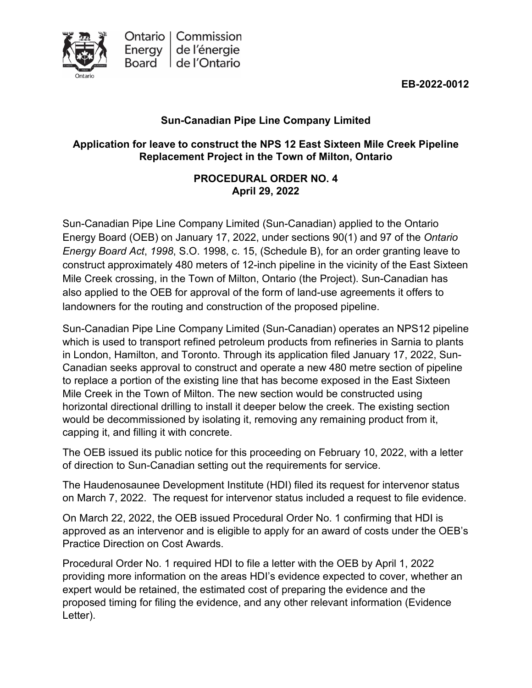**EB-2022-0012**



# **Sun-Canadian Pipe Line Company Limited**

## **Application for leave to construct the NPS 12 East Sixteen Mile Creek Pipeline Replacement Project in the Town of Milton, Ontario**

## **PROCEDURAL ORDER NO. 4 April 29, 2022**

Sun-Canadian Pipe Line Company Limited (Sun-Canadian) applied to the Ontario Energy Board (OEB) on January 17, 2022, under sections 90(1) and 97 of the *Ontario Energy Board Act*, *1998*, S.O. 1998, c. 15, (Schedule B), for an order granting leave to construct approximately 480 meters of 12-inch pipeline in the vicinity of the East Sixteen Mile Creek crossing, in the Town of Milton, Ontario (the Project). Sun-Canadian has also applied to the OEB for approval of the form of land-use agreements it offers to landowners for the routing and construction of the proposed pipeline.

Sun-Canadian Pipe Line Company Limited (Sun-Canadian) operates an NPS12 pipeline which is used to transport refined petroleum products from refineries in Sarnia to plants in London, Hamilton, and Toronto. Through its application filed January 17, 2022, Sun-Canadian seeks approval to construct and operate a new 480 metre section of pipeline to replace a portion of the existing line that has become exposed in the East Sixteen Mile Creek in the Town of Milton. The new section would be constructed using horizontal directional drilling to install it deeper below the creek. The existing section would be decommissioned by isolating it, removing any remaining product from it, capping it, and filling it with concrete.

The OEB issued its public notice for this proceeding on February 10, 2022, with a letter of direction to Sun-Canadian setting out the requirements for service.

The Haudenosaunee Development Institute (HDI) filed its request for intervenor status on March 7, 2022. The request for intervenor status included a request to file evidence.

On March 22, 2022, the OEB issued Procedural Order No. 1 confirming that HDI is approved as an intervenor and is eligible to apply for an award of costs under the OEB's Practice Direction on Cost Awards.

Procedural Order No. 1 required HDI to file a letter with the OEB by April 1, 2022 providing more information on the areas HDI's evidence expected to cover, whether an expert would be retained, the estimated cost of preparing the evidence and the proposed timing for filing the evidence, and any other relevant information (Evidence Letter).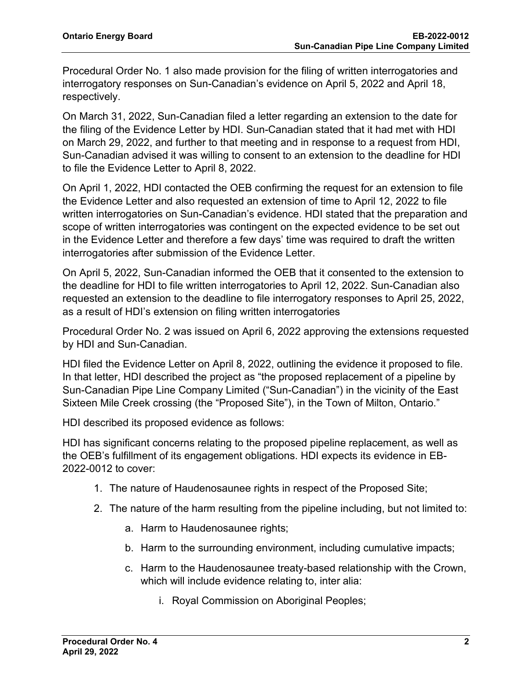Procedural Order No. 1 also made provision for the filing of written interrogatories and interrogatory responses on Sun-Canadian's evidence on April 5, 2022 and April 18, respectively.

On March 31, 2022, Sun-Canadian filed a letter regarding an extension to the date for the filing of the Evidence Letter by HDI. Sun-Canadian stated that it had met with HDI on March 29, 2022, and further to that meeting and in response to a request from HDI, Sun-Canadian advised it was willing to consent to an extension to the deadline for HDI to file the Evidence Letter to April 8, 2022.

On April 1, 2022, HDI contacted the OEB confirming the request for an extension to file the Evidence Letter and also requested an extension of time to April 12, 2022 to file written interrogatories on Sun-Canadian's evidence. HDI stated that the preparation and scope of written interrogatories was contingent on the expected evidence to be set out in the Evidence Letter and therefore a few days' time was required to draft the written interrogatories after submission of the Evidence Letter.

On April 5, 2022, Sun-Canadian informed the OEB that it consented to the extension to the deadline for HDI to file written interrogatories to April 12, 2022. Sun-Canadian also requested an extension to the deadline to file interrogatory responses to April 25, 2022, as a result of HDI's extension on filing written interrogatories

Procedural Order No. 2 was issued on April 6, 2022 approving the extensions requested by HDI and Sun-Canadian.

HDI filed the Evidence Letter on April 8, 2022, outlining the evidence it proposed to file. In that letter, HDI described the project as "the proposed replacement of a pipeline by Sun-Canadian Pipe Line Company Limited ("Sun-Canadian") in the vicinity of the East Sixteen Mile Creek crossing (the "Proposed Site"), in the Town of Milton, Ontario."

HDI described its proposed evidence as follows:

HDI has significant concerns relating to the proposed pipeline replacement, as well as the OEB's fulfillment of its engagement obligations. HDI expects its evidence in EB-2022-0012 to cover:

- 1. The nature of Haudenosaunee rights in respect of the Proposed Site;
- 2. The nature of the harm resulting from the pipeline including, but not limited to:
	- a. Harm to Haudenosaunee rights;
	- b. Harm to the surrounding environment, including cumulative impacts;
	- c. Harm to the Haudenosaunee treaty-based relationship with the Crown, which will include evidence relating to, inter alia:
		- i. Royal Commission on Aboriginal Peoples;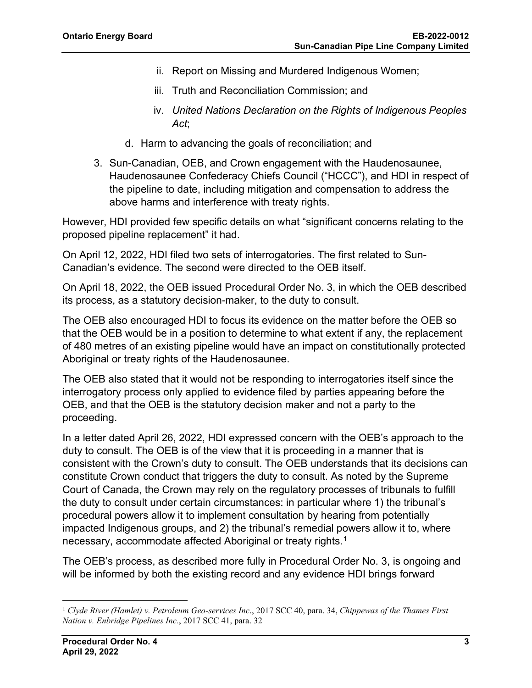- ii. Report on Missing and Murdered Indigenous Women;
- iii. Truth and Reconciliation Commission; and
- iv. *United Nations Declaration on the Rights of Indigenous Peoples Act*;
- d. Harm to advancing the goals of reconciliation; and
- 3. Sun-Canadian, OEB, and Crown engagement with the Haudenosaunee, Haudenosaunee Confederacy Chiefs Council ("HCCC"), and HDI in respect of the pipeline to date, including mitigation and compensation to address the above harms and interference with treaty rights.

However, HDI provided few specific details on what "significant concerns relating to the proposed pipeline replacement" it had.

On April 12, 2022, HDI filed two sets of interrogatories. The first related to Sun-Canadian's evidence. The second were directed to the OEB itself.

On April 18, 2022, the OEB issued Procedural Order No. 3, in which the OEB described its process, as a statutory decision-maker, to the duty to consult.

The OEB also encouraged HDI to focus its evidence on the matter before the OEB so that the OEB would be in a position to determine to what extent if any, the replacement of 480 metres of an existing pipeline would have an impact on constitutionally protected Aboriginal or treaty rights of the Haudenosaunee.

The OEB also stated that it would not be responding to interrogatories itself since the interrogatory process only applied to evidence filed by parties appearing before the OEB, and that the OEB is the statutory decision maker and not a party to the proceeding.

In a letter dated April 26, 2022, HDI expressed concern with the OEB's approach to the duty to consult. The OEB is of the view that it is proceeding in a manner that is consistent with the Crown's duty to consult. The OEB understands that its decisions can constitute Crown conduct that triggers the duty to consult. As noted by the Supreme Court of Canada, the Crown may rely on the regulatory processes of tribunals to fulfill the duty to consult under certain circumstances: in particular where 1) the tribunal's procedural powers allow it to implement consultation by hearing from potentially impacted Indigenous groups, and 2) the tribunal's remedial powers allow it to, where necessary, accommodate affected Aboriginal or treaty rights.<sup>[1](#page-2-0)</sup>

The OEB's process, as described more fully in Procedural Order No. 3, is ongoing and will be informed by both the existing record and any evidence HDI brings forward

<span id="page-2-0"></span><sup>1</sup> *Clyde River (Hamlet) v. Petroleum Geo-services Inc*., 2017 SCC 40, para. 34, *Chippewas of the Thames First Nation v. Enbridge Pipelines Inc.*, 2017 SCC 41, para. 32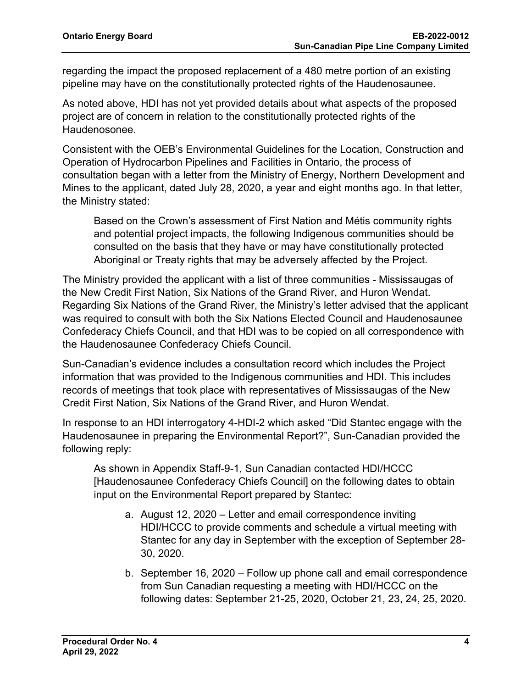regarding the impact the proposed replacement of a 480 metre portion of an existing pipeline may have on the constitutionally protected rights of the Haudenosaunee.

As noted above, HDI has not yet provided details about what aspects of the proposed project are of concern in relation to the constitutionally protected rights of the Haudenosonee.

Consistent with the OEB's Environmental Guidelines for the Location, Construction and Operation of Hydrocarbon Pipelines and Facilities in Ontario, the process of consultation began with a letter from the Ministry of Energy, Northern Development and Mines to the applicant, dated July 28, 2020, a year and eight months ago. In that letter, the Ministry stated:

Based on the Crown's assessment of First Nation and Métis community rights and potential project impacts, the following Indigenous communities should be consulted on the basis that they have or may have constitutionally protected Aboriginal or Treaty rights that may be adversely affected by the Project.

The Ministry provided the applicant with a list of three communities - Mississaugas of the New Credit First Nation, Six Nations of the Grand River, and Huron Wendat. Regarding Six Nations of the Grand River, the Ministry's letter advised that the applicant was required to consult with both the Six Nations Elected Council and Haudenosaunee Confederacy Chiefs Council, and that HDI was to be copied on all correspondence with the Haudenosaunee Confederacy Chiefs Council.

Sun-Canadian's evidence includes a consultation record which includes the Project information that was provided to the Indigenous communities and HDI. This includes records of meetings that took place with representatives of Mississaugas of the New Credit First Nation, Six Nations of the Grand River, and Huron Wendat.

In response to an HDI interrogatory 4-HDI-2 which asked "Did Stantec engage with the Haudenosaunee in preparing the Environmental Report?", Sun-Canadian provided the following reply:

As shown in Appendix Staff-9-1, Sun Canadian contacted HDI/HCCC [Haudenosaunee Confederacy Chiefs Council] on the following dates to obtain input on the Environmental Report prepared by Stantec:

- a. August 12, 2020 Letter and email correspondence inviting HDI/HCCC to provide comments and schedule a virtual meeting with Stantec for any day in September with the exception of September 28- 30, 2020.
- b. September 16, 2020 Follow up phone call and email correspondence from Sun Canadian requesting a meeting with HDI/HCCC on the following dates: September 21-25, 2020, October 21, 23, 24, 25, 2020.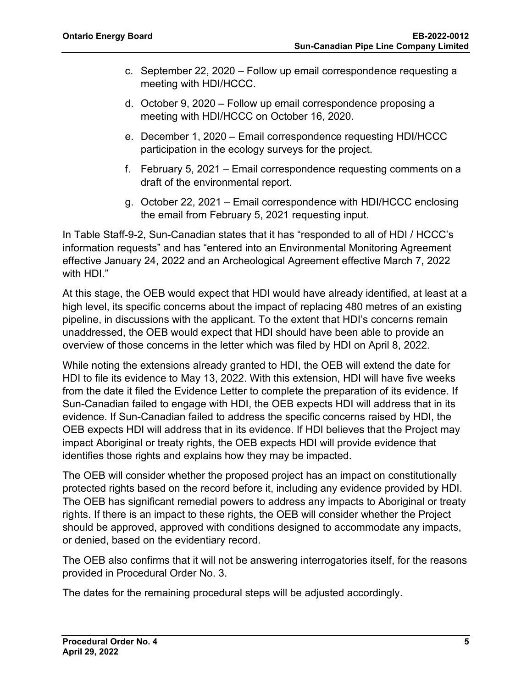- c. September 22, 2020 Follow up email correspondence requesting a meeting with HDI/HCCC.
- d. October 9, 2020 Follow up email correspondence proposing a meeting with HDI/HCCC on October 16, 2020.
- e. December 1, 2020 Email correspondence requesting HDI/HCCC participation in the ecology surveys for the project.
- f. February 5, 2021 Email correspondence requesting comments on a draft of the environmental report.
- g. October 22, 2021 Email correspondence with HDI/HCCC enclosing the email from February 5, 2021 requesting input.

In Table Staff-9-2, Sun-Canadian states that it has "responded to all of HDI / HCCC's information requests" and has "entered into an Environmental Monitoring Agreement effective January 24, 2022 and an Archeological Agreement effective March 7, 2022 with HDI."

At this stage, the OEB would expect that HDI would have already identified, at least at a high level, its specific concerns about the impact of replacing 480 metres of an existing pipeline, in discussions with the applicant. To the extent that HDI's concerns remain unaddressed, the OEB would expect that HDI should have been able to provide an overview of those concerns in the letter which was filed by HDI on April 8, 2022.

While noting the extensions already granted to HDI, the OEB will extend the date for HDI to file its evidence to May 13, 2022. With this extension, HDI will have five weeks from the date it filed the Evidence Letter to complete the preparation of its evidence. If Sun-Canadian failed to engage with HDI, the OEB expects HDI will address that in its evidence. If Sun-Canadian failed to address the specific concerns raised by HDI, the OEB expects HDI will address that in its evidence. If HDI believes that the Project may impact Aboriginal or treaty rights, the OEB expects HDI will provide evidence that identifies those rights and explains how they may be impacted.

The OEB will consider whether the proposed project has an impact on constitutionally protected rights based on the record before it, including any evidence provided by HDI. The OEB has significant remedial powers to address any impacts to Aboriginal or treaty rights. If there is an impact to these rights, the OEB will consider whether the Project should be approved, approved with conditions designed to accommodate any impacts, or denied, based on the evidentiary record.

The OEB also confirms that it will not be answering interrogatories itself, for the reasons provided in Procedural Order No. 3.

The dates for the remaining procedural steps will be adjusted accordingly.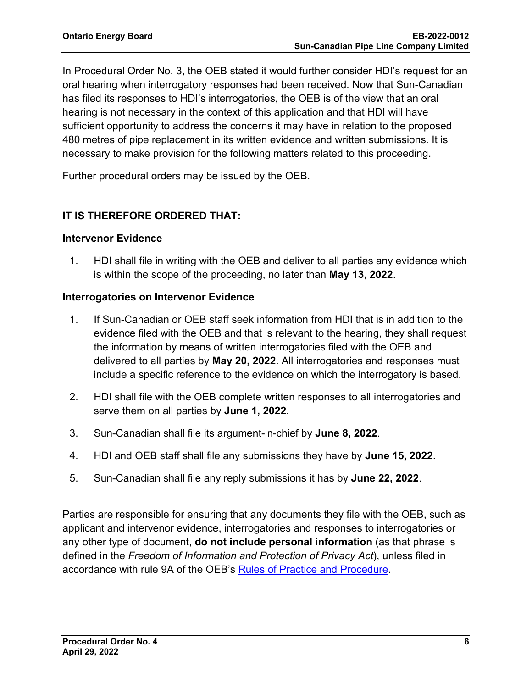In Procedural Order No. 3, the OEB stated it would further consider HDI's request for an oral hearing when interrogatory responses had been received. Now that Sun-Canadian has filed its responses to HDI's interrogatories, the OEB is of the view that an oral hearing is not necessary in the context of this application and that HDI will have sufficient opportunity to address the concerns it may have in relation to the proposed 480 metres of pipe replacement in its written evidence and written submissions. It is necessary to make provision for the following matters related to this proceeding.

Further procedural orders may be issued by the OEB.

### **IT IS THEREFORE ORDERED THAT:**

#### **Intervenor Evidence**

1. HDI shall file in writing with the OEB and deliver to all parties any evidence which is within the scope of the proceeding, no later than **May 13, 2022**.

#### **Interrogatories on Intervenor Evidence**

- 1. If Sun-Canadian or OEB staff seek information from HDI that is in addition to the evidence filed with the OEB and that is relevant to the hearing, they shall request the information by means of written interrogatories filed with the OEB and delivered to all parties by **May 20, 2022**. All interrogatories and responses must include a specific reference to the evidence on which the interrogatory is based.
- 2. HDI shall file with the OEB complete written responses to all interrogatories and serve them on all parties by **June 1, 2022**.
- 3. Sun-Canadian shall file its argument-in-chief by **June 8, 2022**.
- 4. HDI and OEB staff shall file any submissions they have by **June 15, 2022**.
- 5. Sun-Canadian shall file any reply submissions it has by **June 22, 2022**.

Parties are responsible for ensuring that any documents they file with the OEB, such as applicant and intervenor evidence, interrogatories and responses to interrogatories or any other type of document, **do not include personal information** (as that phrase is defined in the *Freedom of Information and Protection of Privacy Act*), unless filed in accordance with rule 9A of the OEB's [Rules of Practice and Procedure.](https://www.oeb.ca/industry/rules-codes-and-requirements/rules-practice-procedure)